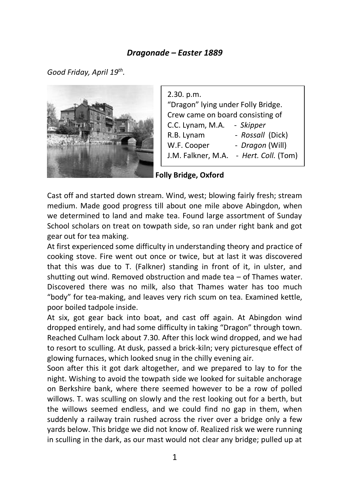## *Dragonade – Easter 1889*

*Good Friday, April 19th .*



2.30. p.m. "Dragon" lying under Folly Bridge. Crew came on board consisting of C.C. Lynam, M.A. - *Skipper* R.B. Lynam - *Rossall* (Dick) W.F. Cooper - *Dragon* (Will) J.M. Falkner, M.A. - *Hert. Coll.* (Tom)

**Folly Bridge, Oxford**

Cast off and started down stream. Wind, west; blowing fairly fresh; stream medium. Made good progress till about one mile above Abingdon, when we determined to land and make tea. Found large assortment of Sunday School scholars on treat on towpath side, so ran under right bank and got gear out for tea making.

At first experienced some difficulty in understanding theory and practice of cooking stove. Fire went out once or twice, but at last it was discovered that this was due to T. (Falkner) standing in front of it, in ulster, and shutting out wind. Removed obstruction and made tea – of Thames water. Discovered there was no milk, also that Thames water has too much "body" for tea-making, and leaves very rich scum on tea. Examined kettle, poor boiled tadpole inside.

At six, got gear back into boat, and cast off again. At Abingdon wind dropped entirely, and had some difficulty in taking "Dragon" through town. Reached Culham lock about 7.30. After this lock wind dropped, and we had to resort to sculling. At dusk, passed a brick-kiln; very picturesque effect of glowing furnaces, which looked snug in the chilly evening air.

Soon after this it got dark altogether, and we prepared to lay to for the night. Wishing to avoid the towpath side we looked for suitable anchorage on Berkshire bank, where there seemed however to be a row of polled willows. T. was sculling on slowly and the rest looking out for a berth, but the willows seemed endless, and we could find no gap in them, when suddenly a railway train rushed across the river over a bridge only a few yards below. This bridge we did not know of. Realized risk we were running in sculling in the dark, as our mast would not clear any bridge; pulled up at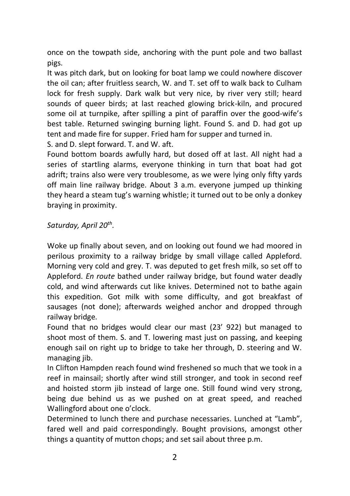once on the towpath side, anchoring with the punt pole and two ballast pigs.

It was pitch dark, but on looking for boat lamp we could nowhere discover the oil can; after fruitless search, W. and T. set off to walk back to Culham lock for fresh supply. Dark walk but very nice, by river very still; heard sounds of queer birds; at last reached glowing brick-kiln, and procured some oil at turnpike, after spilling a pint of paraffin over the good-wife's best table. Returned swinging burning light. Found S. and D. had got up tent and made fire for supper. Fried ham for supper and turned in. S. and D. slept forward. T. and W. aft.

Found bottom boards awfully hard, but dosed off at last. All night had a series of startling alarms, everyone thinking in turn that boat had got adrift; trains also were very troublesome, as we were lying only fifty yards off main line railway bridge. About 3 a.m. everyone jumped up thinking they heard a steam tug's warning whistle; it turned out to be only a donkey braying in proximity.

*Saturday, April 20th .*

Woke up finally about seven, and on looking out found we had moored in perilous proximity to a railway bridge by small village called Appleford. Morning very cold and grey. T. was deputed to get fresh milk, so set off to Appleford. *En route* bathed under railway bridge, but found water deadly cold, and wind afterwards cut like knives. Determined not to bathe again this expedition. Got milk with some difficulty, and got breakfast of sausages (not done); afterwards weighed anchor and dropped through railway bridge.

Found that no bridges would clear our mast (23' 922) but managed to shoot most of them. S. and T. lowering mast just on passing, and keeping enough sail on right up to bridge to take her through, D. steering and W. managing jib.

In Clifton Hampden reach found wind freshened so much that we took in a reef in mainsail; shortly after wind still stronger, and took in second reef and hoisted storm jib instead of large one. Still found wind very strong, being due behind us as we pushed on at great speed, and reached Wallingford about one o'clock.

Determined to lunch there and purchase necessaries. Lunched at "Lamb", fared well and paid correspondingly. Bought provisions, amongst other things a quantity of mutton chops; and set sail about three p.m.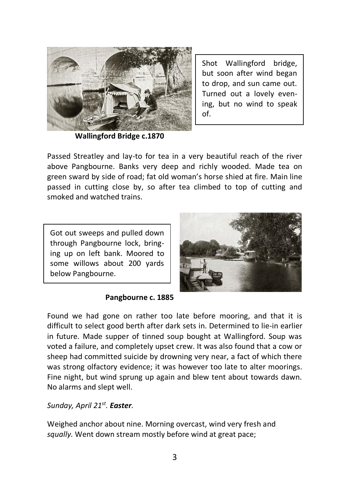

Shot Wallingford bridge, but soon after wind began to drop, and sun came out. Turned out a lovely evening, but no wind to speak of.

**Wallingford Bridge c.1870** 

Passed Streatley and lay-to for tea in a very beautiful reach of the river above Pangbourne. Banks very deep and richly wooded. Made tea on green sward by side of road; fat old woman's horse shied at fire. Main line passed in cutting close by, so after tea climbed to top of cutting and smoked and watched trains.

Got out sweeps and pulled down through Pangbourne lock, bringing up on left bank. Moored to some willows about 200 yards below Pangbourne.



### **Pangbourne c. 1885**

Found we had gone on rather too late before mooring, and that it is difficult to select good berth after dark sets in. Determined to lie-in earlier in future. Made supper of tinned soup bought at Wallingford. Soup was voted a failure, and completely upset crew. It was also found that a cow or sheep had committed suicide by drowning very near, a fact of which there was strong olfactory evidence; it was however too late to alter moorings. Fine night, but wind sprung up again and blew tent about towards dawn. No alarms and slept well.

*Sunday, April 21st . Easter.* 

Weighed anchor about nine. Morning overcast, wind very fresh and *squally.* Went down stream mostly before wind at great pace;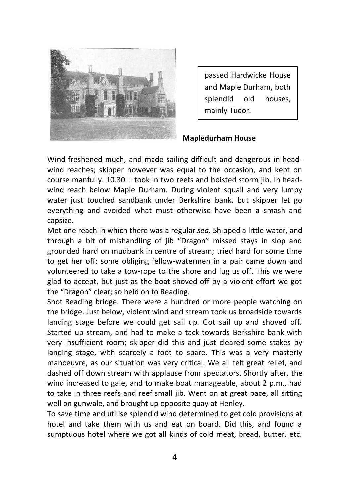

passed Hardwicke House and Maple Durham, both splendid old houses, mainly Tudor.

#### **Mapledurham House**

Wind freshened much, and made sailing difficult and dangerous in headwind reaches; skipper however was equal to the occasion, and kept on course manfully. 10.30 – took in two reefs and hoisted storm jib. In headwind reach below Maple Durham. During violent squall and very lumpy water just touched sandbank under Berkshire bank, but skipper let go everything and avoided what must otherwise have been a smash and capsize.

Met one reach in which there was a regular *sea.* Shipped a little water, and through a bit of mishandling of jib "Dragon" missed stays in slop and grounded hard on mudbank in centre of stream; tried hard for some time to get her off; some obliging fellow-watermen in a pair came down and volunteered to take a tow-rope to the shore and lug us off. This we were glad to accept, but just as the boat shoved off by a violent effort we got the "Dragon" clear; so held on to Reading.

Shot Reading bridge. There were a hundred or more people watching on the bridge. Just below, violent wind and stream took us broadside towards landing stage before we could get sail up. Got sail up and shoved off. Started up stream, and had to make a tack towards Berkshire bank with very insufficient room; skipper did this and just cleared some stakes by landing stage, with scarcely a foot to spare. This was a very masterly manoeuvre, as our situation was very critical. We all felt great relief, and dashed off down stream with applause from spectators. Shortly after, the wind increased to gale, and to make boat manageable, about 2 p.m., had to take in three reefs and reef small jib. Went on at great pace, all sitting well on gunwale, and brought up opposite quay at Henley.

To save time and utilise splendid wind determined to get cold provisions at hotel and take them with us and eat on board. Did this, and found a sumptuous hotel where we got all kinds of cold meat, bread, butter, etc.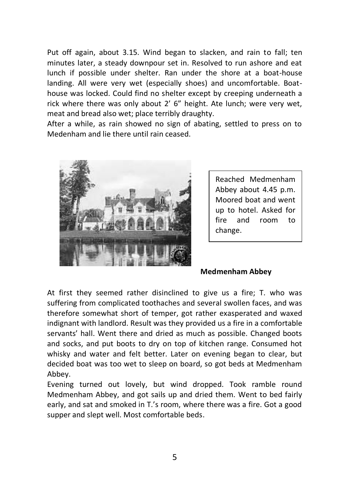Put off again, about 3.15. Wind began to slacken, and rain to fall; ten minutes later, a steady downpour set in. Resolved to run ashore and eat lunch if possible under shelter. Ran under the shore at a boat-house landing. All were very wet (especially shoes) and uncomfortable. Boathouse was locked. Could find no shelter except by creeping underneath a rick where there was only about 2' 6" height. Ate lunch; were very wet, meat and bread also wet; place terribly draughty.

After a while, as rain showed no sign of abating, settled to press on to Medenham and lie there until rain ceased.

![](_page_4_Picture_2.jpeg)

Reached Medmenham Abbey about 4.45 p.m. Moored boat and went up to hotel. Asked for fire and room to change.

### **Medmenham Abbey**

At first they seemed rather disinclined to give us a fire; T. who was suffering from complicated toothaches and several swollen faces, and was therefore somewhat short of temper, got rather exasperated and waxed indignant with landlord. Result was they provided us a fire in a comfortable servants' hall. Went there and dried as much as possible. Changed boots and socks, and put boots to dry on top of kitchen range. Consumed hot whisky and water and felt better. Later on evening began to clear, but decided boat was too wet to sleep on board, so got beds at Medmenham Abbey.

Evening turned out lovely, but wind dropped. Took ramble round Medmenham Abbey, and got sails up and dried them. Went to bed fairly early, and sat and smoked in T.'s room, where there was a fire. Got a good supper and slept well. Most comfortable beds.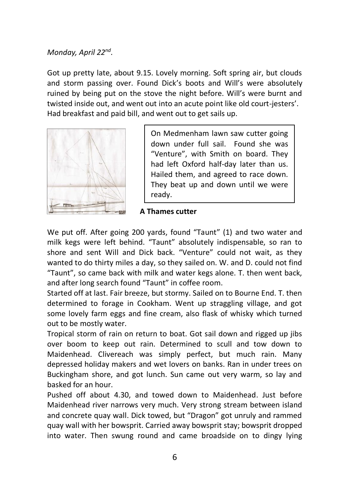# *Monday, April 22nd .*

Got up pretty late, about 9.15. Lovely morning. Soft spring air, but clouds and storm passing over. Found Dick's boots and Will's were absolutely ruined by being put on the stove the night before. Will's were burnt and twisted inside out, and went out into an acute point like old court-jesters'. Had breakfast and paid bill, and went out to get sails up.

![](_page_5_Figure_2.jpeg)

On Medmenham lawn saw cutter going down under full sail. Found she was "Venture", with Smith on board. They had left Oxford half-day later than us. Hailed them, and agreed to race down. They beat up and down until we were ready.

## **A Thames cutter**

We put off. After going 200 yards, found "Taunt" (1) and two water and milk kegs were left behind. "Taunt" absolutely indispensable, so ran to shore and sent Will and Dick back. "Venture" could not wait, as they wanted to do thirty miles a day, so they sailed on. W. and D. could not find "Taunt", so came back with milk and water kegs alone. T. then went back, and after long search found "Taunt" in coffee room.

Started off at last. Fair breeze, but stormy. Sailed on to Bourne End. T. then determined to forage in Cookham. Went up straggling village, and got some lovely farm eggs and fine cream, also flask of whisky which turned out to be mostly water.

Tropical storm of rain on return to boat. Got sail down and rigged up jibs over boom to keep out rain. Determined to scull and tow down to Maidenhead. Clivereach was simply perfect, but much rain. Many depressed holiday makers and wet lovers on banks. Ran in under trees on Buckingham shore, and got lunch. Sun came out very warm, so lay and basked for an hour.

Pushed off about 4.30, and towed down to Maidenhead. Just before Maidenhead river narrows very much. Very strong stream between island and concrete quay wall. Dick towed, but "Dragon" got unruly and rammed quay wall with her bowsprit. Carried away bowsprit stay; bowsprit dropped into water. Then swung round and came broadside on to dingy lying